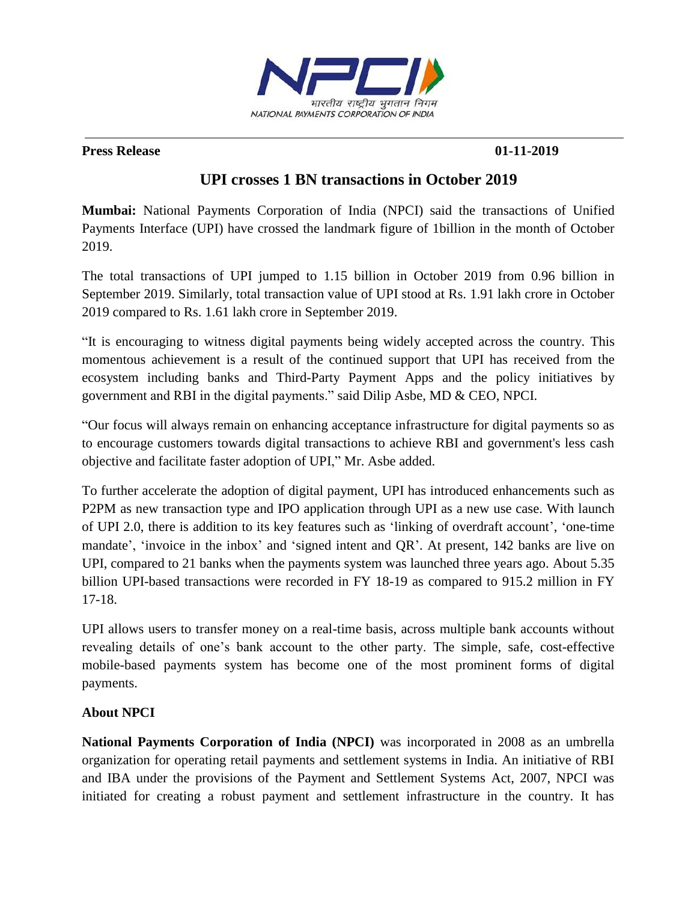

### **Press Release** 01-11-2019

# **UPI crosses 1 BN transactions in October 2019**

**Mumbai:** National Payments Corporation of India (NPCI) said the transactions of Unified Payments Interface (UPI) have crossed the landmark figure of 1billion in the month of October 2019.

The total transactions of UPI jumped to 1.15 billion in October 2019 from 0.96 billion in September 2019. Similarly, total transaction value of UPI stood at Rs. 1.91 lakh crore in October 2019 compared to Rs. 1.61 lakh crore in September 2019.

"It is encouraging to witness digital payments being widely accepted across the country. This momentous achievement is a result of the continued support that UPI has received from the ecosystem including banks and Third-Party Payment Apps and the policy initiatives by government and RBI in the digital payments." said Dilip Asbe, MD & CEO, NPCI.

"Our focus will always remain on enhancing acceptance infrastructure for digital payments so as to encourage customers towards digital transactions to achieve RBI and government's less cash objective and facilitate faster adoption of UPI," Mr. Asbe added.

To further accelerate the adoption of digital payment, UPI has introduced enhancements such as P2PM as new transaction type and IPO application through UPI as a new use case. With launch of UPI 2.0, there is addition to its key features such as 'linking of overdraft account', 'one-time mandate', 'invoice in the inbox' and 'signed intent and QR'. At present, 142 banks are live on UPI, compared to 21 banks when the payments system was launched three years ago. About 5.35 billion UPI-based transactions were recorded in FY 18-19 as compared to 915.2 million in FY 17-18.

UPI allows users to transfer money on a real-time basis, across multiple bank accounts without revealing details of one's bank account to the other party. The simple, safe, cost-effective mobile-based payments system has become one of the most prominent forms of digital payments.

# **About NPCI**

**National Payments Corporation of India (NPCI)** was incorporated in 2008 as an umbrella organization for operating retail payments and settlement systems in India. An initiative of RBI and IBA under the provisions of the Payment and Settlement Systems Act, 2007, NPCI was initiated for creating a robust payment and settlement infrastructure in the country. It has